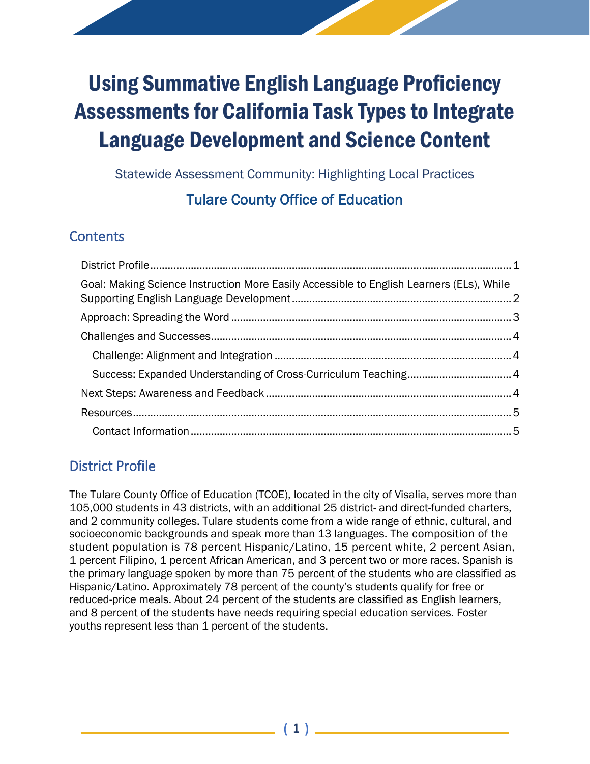# Using Summative English Language Proficiency Assessments for California Task Types to Integrate Language Development and Science Content

Statewide Assessment Community: Highlighting Local Practices

# Tulare County Office of Education

## **Contents**

| Goal: Making Science Instruction More Easily Accessible to English Learners (ELs), While |  |
|------------------------------------------------------------------------------------------|--|
|                                                                                          |  |
|                                                                                          |  |
|                                                                                          |  |
|                                                                                          |  |
|                                                                                          |  |
|                                                                                          |  |
|                                                                                          |  |
|                                                                                          |  |

# <span id="page-0-0"></span>District Profile

The Tulare County Office of Education (TCOE), located in the city of Visalia, serves more than 105,000 students in 43 districts, with an additional 25 district- and direct-funded charters, and 2 community colleges. Tulare students come from a wide range of ethnic, cultural, and socioeconomic backgrounds and speak more than 13 languages. The composition of the student population is 78 percent Hispanic/Latino, 15 percent white, 2 percent Asian, 1 percent Filipino, 1 percent African American, and 3 percent two or more races. Spanish is the primary language spoken by more than 75 percent of the students who are classified as Hispanic/Latino. Approximately 78 percent of the county's students qualify for free or reduced-price meals. About 24 percent of the students are classified as English learners, and 8 percent of the students have needs requiring special education services. Foster youths represent less than 1 percent of the students.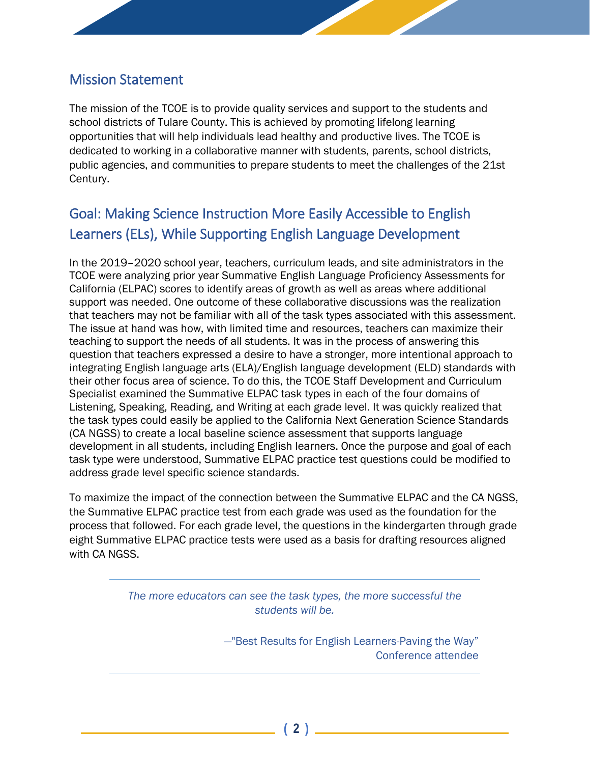### <span id="page-1-0"></span>Mission Statement

The mission of the TCOE is to provide quality services and support to the students and school districts of Tulare County. This is achieved by promoting lifelong learning opportunities that will help individuals lead healthy and productive lives. The TCOE is dedicated to working in a collaborative manner with students, parents, school districts, public agencies, and communities to prepare students to meet the challenges of the 21st Century.

# Goal: Making Science Instruction More Easily Accessible to English Learners (ELs), While Supporting English Language Development

In the 2019–2020 school year, teachers, curriculum leads, and site administrators in the TCOE were analyzing prior year Summative English Language Proficiency Assessments for California (ELPAC) scores to identify areas of growth as well as areas where additional support was needed. One outcome of these collaborative discussions was the realization that teachers may not be familiar with all of the task types associated with this assessment. The issue at hand was how, with limited time and resources, teachers can maximize their teaching to support the needs of all students. It was in the process of answering this question that teachers expressed a desire to have a stronger, more intentional approach to integrating English language arts (ELA)/English language development (ELD) standards with their other focus area of science. To do this, the TCOE Staff Development and Curriculum Specialist examined the Summative ELPAC task types in each of the four domains of Listening, Speaking, Reading, and Writing at each grade level. It was quickly realized that the task types could easily be applied to the California Next Generation Science Standards (CA NGSS) to create a local baseline science assessment that supports language development in all students, including English learners. Once the purpose and goal of each task type were understood, Summative ELPAC practice test questions could be modified to address grade level specific science standards.

To maximize the impact of the connection between the Summative ELPAC and the CA NGSS, the Summative ELPAC practice test from each grade was used as the foundation for the process that followed. For each grade level, the questions in the kindergarten through grade eight Summative ELPAC practice tests were used as a basis for drafting resources aligned with CA NGSS.

> <span id="page-1-1"></span>*The more educators can see the task types, the more successful the students will be.*

> > —"Best Results for English Learners-Paving the Way" Conference attendee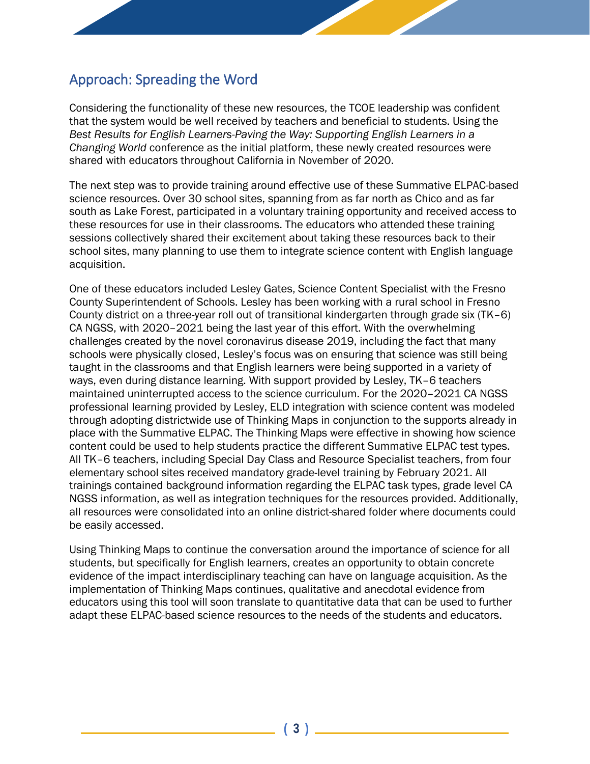## Approach: Spreading the Word

Considering the functionality of these new resources, the TCOE leadership was confident that the system would be well received by teachers and beneficial to students. Using the *Best Results for English Learners-Paving the Way: Supporting English Learners in a Changing World* conference as the initial platform, these newly created resources were shared with educators throughout California in November of 2020.

The next step was to provide training around effective use of these Summative ELPAC-based science resources. Over 30 school sites, spanning from as far north as Chico and as far south as Lake Forest, participated in a voluntary training opportunity and received access to these resources for use in their classrooms. The educators who attended these training sessions collectively shared their excitement about taking these resources back to their school sites, many planning to use them to integrate science content with English language acquisition.

One of these educators included Lesley Gates, Science Content Specialist with the Fresno County Superintendent of Schools. Lesley has been working with a rural school in Fresno County district on a three-year roll out of transitional kindergarten through grade six (TK–6) CA NGSS, with 2020–2021 being the last year of this effort. With the overwhelming challenges created by the novel coronavirus disease 2019, including the fact that many schools were physically closed, Lesley's focus was on ensuring that science was still being taught in the classrooms and that English learners were being supported in a variety of ways, even during distance learning. With support provided by Lesley, TK–6 teachers maintained uninterrupted access to the science curriculum. For the 2020–2021 CA NGSS professional learning provided by Lesley, ELD integration with science content was modeled through adopting districtwide use of Thinking Maps in conjunction to the supports already in place with the Summative ELPAC. The Thinking Maps were effective in showing how science content could be used to help students practice the different Summative ELPAC test types. All TK–6 teachers, including Special Day Class and Resource Specialist teachers, from four elementary school sites received mandatory grade-level training by February 2021. All trainings contained background information regarding the ELPAC task types, grade level CA NGSS information, as well as integration techniques for the resources provided. Additionally, all resources were consolidated into an online district-shared folder where documents could be easily accessed.

Using Thinking Maps to continue the conversation around the importance of science for all students, but specifically for English learners, creates an opportunity to obtain concrete evidence of the impact interdisciplinary teaching can have on language acquisition. As the implementation of Thinking Maps continues, qualitative and anecdotal evidence from educators using this tool will soon translate to quantitative data that can be used to further adapt these ELPAC-based science resources to the needs of the students and educators.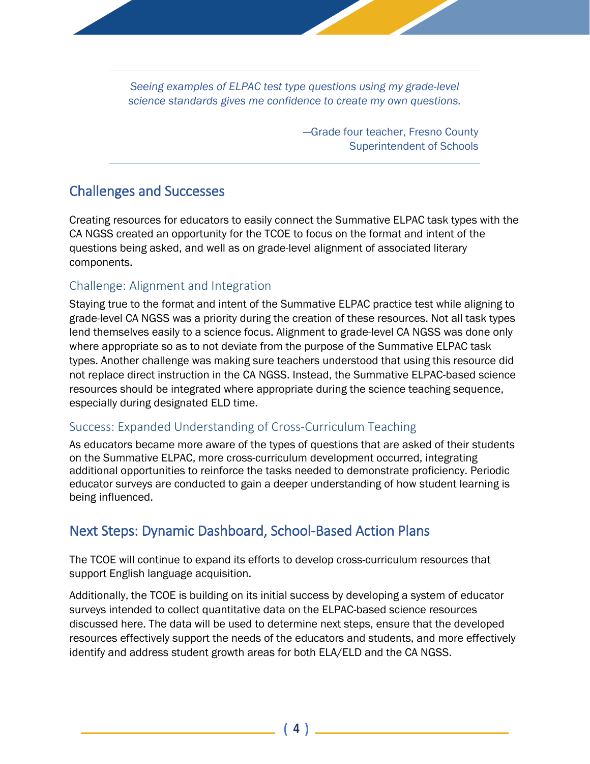*Seeing examples of ELPAC test type questions using my grade-level science standards gives me confidence to create my own questions.* 

> —Grade four teacher, Fresno County Superintendent of Schools

#### <span id="page-3-0"></span>Challenges and Successes

<span id="page-3-1"></span>Creating resources for educators to easily connect the Summative ELPAC task types with the CA NGSS created an opportunity for the TCOE to focus on the format and intent of the questions being asked, and well as on grade-level alignment of associated literary components.

#### Challenge: Alignment and Integration

Staying true to the format and intent of the Summative ELPAC practice test while aligning to grade-level CA NGSS was a priority during the creation of these resources. Not all task types lend themselves easily to a science focus. Alignment to grade-level CA NGSS was done only where appropriate so as to not deviate from the purpose of the Summative ELPAC task types. Another challenge was making sure teachers understood that using this resource did not replace direct instruction in the CA NGSS. Instead, the Summative ELPAC-based science resources should be integrated where appropriate during the science teaching sequence, especially during designated ELD time.

#### <span id="page-3-2"></span>Success: Expanded Understanding of Cross-Curriculum Teaching

As educators became more aware of the types of questions that are asked of their students on the Summative ELPAC, more cross-curriculum development occurred, integrating additional opportunities to reinforce the tasks needed to demonstrate proficiency. Periodic educator surveys are conducted to gain a deeper understanding of how student learning is being influenced.

## <span id="page-3-3"></span>Next Steps: Dynamic Dashboard, School-Based Action Plans

The TCOE will continue to expand its efforts to develop cross-curriculum resources that support English language acquisition.

Additionally, the TCOE is building on its initial success by developing a system of educator surveys intended to collect quantitative data on the ELPAC-based science resources discussed here. The data will be used to determine next steps, ensure that the developed resources effectively support the needs of the educators and students, and more effectively identify and address student growth areas for both ELA/ELD and the CA NGSS.